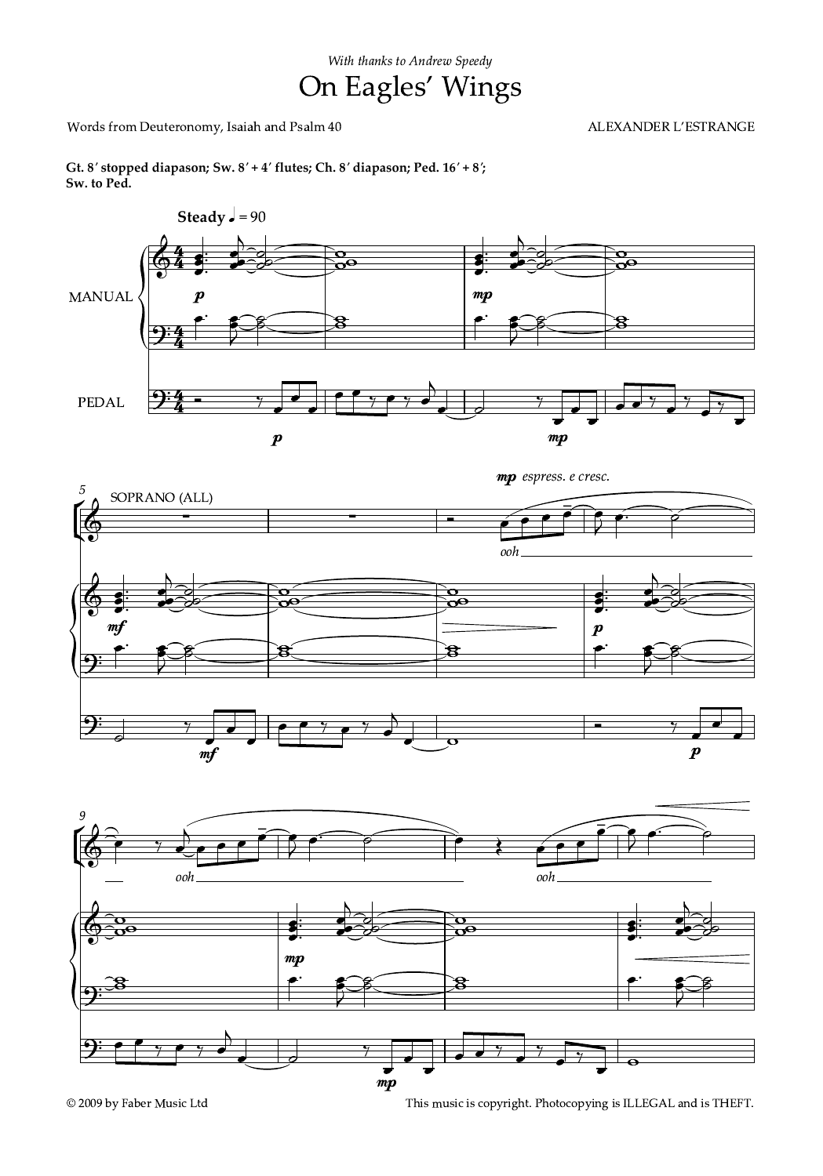## On Eagles' Wings

Words from Deuteronomy, Isaiah and Psalm 40

ALEXANDER L'ESTRANGE

**Gt. 8**' **stopped diapason; Sw. 8**' **+ 4**' **flutes; Ch. 8**' **diapason; Ped. 16**' **+ 8**'**; Sw. to Ped.**







© 2009 by Faber Music Ltd

This music is copyright. Photocopying is ILLEGAL and is THEFT.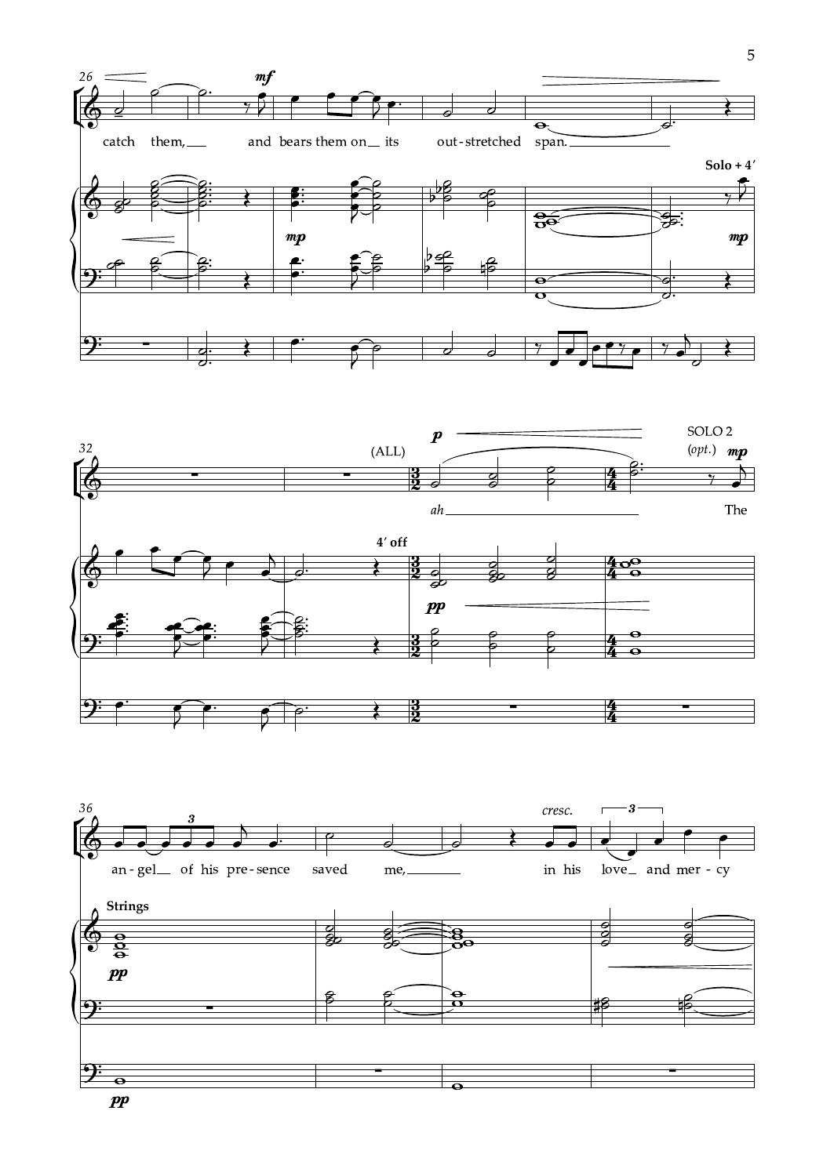